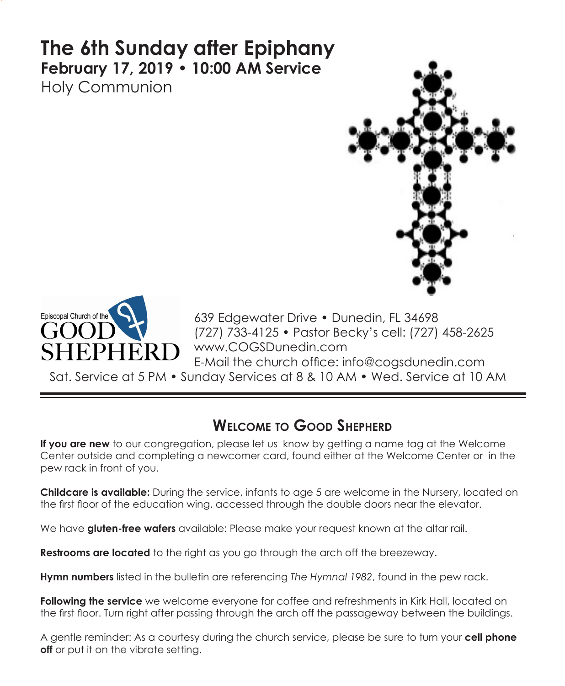# **The 6th Sunday after Epiphany February 17, 2019 • 10:00 AM Service**  Holy Communion





639 Edgewater Drive • Dunedin, FL 34698 (727) 733-4125 • Pastor Becky's cell: (727) 458-2625 www.COGSDunedin.com E-Mail the church office: info@cogsdunedin.com

Sat. Service at 5 PM • Sunday Services at 8 & 10 AM • Wed. Service at 10 AM

## **Welcome to Good Shepherd**

**If you are new** to our congregation, please let us know by getting a name tag at the Welcome Center outside and completing a newcomer card, found either at the Welcome Center or in the pew rack in front of you.

**Childcare is available:** During the service, infants to age 5 are welcome in the Nursery, located on the first floor of the education wing, accessed through the double doors near the elevator.

We have **gluten-free wafers** available: Please make your request known at the altar rail.

**Restrooms are located** to the right as you go through the arch off the breezeway.

**Hymn numbers** listed in the bulletin are referencing *The Hymnal 1982*, found in the pew rack.

**Following the service** we welcome everyone for coffee and refreshments in Kirk Hall, located on the first floor. Turn right after passing through the arch off the passageway between the buildings.

A gentle reminder: As a courtesy during the church service, please be sure to turn your **cell phone off** or put it on the vibrate setting.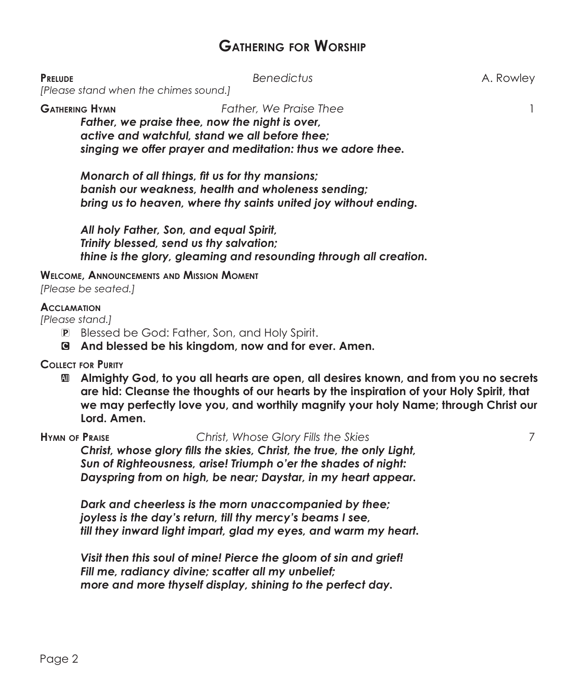## **Gathering for Worship**

| <b>PRELUDE</b><br>[Please stand when the chimes sound.] | <b>Benedictus</b>                                                                                                                                                                         | A. Rowley |
|---------------------------------------------------------|-------------------------------------------------------------------------------------------------------------------------------------------------------------------------------------------|-----------|
| <b>GATHERING HYMN</b>                                   | Father, We Praise Thee<br>Father, we praise thee, now the night is over,<br>active and watchful, stand we all before thee;<br>singing we offer prayer and meditation: thus we adore thee. |           |
|                                                         | Monarch of all things, fit us for thy mansions;<br>banish our weakness, health and wholeness sending;<br>bring us to heaven, where thy saints united joy without ending.                  |           |

*All holy Father, Son, and equal Spirit, Trinity blessed, send us thy salvation; thine is the glory, gleaming and resounding through all creation.* 

**Welcome, Announcements and Mission Moment**

*[Please be seated.]*

### **Acclamation**

*[Please stand.]*

- P Blessed be God: Father, Son, and Holy Spirit.
- C **And blessed be his kingdom, now and for ever. Amen.**

**Collect for Purity**

a **Almighty God, to you all hearts are open, all desires known, and from you no secrets are hid: Cleanse the thoughts of our hearts by the inspiration of your Holy Spirit, that we may perfectly love you, and worthily magnify your holy Name; through Christ our Lord. Amen.**

**Hymn of Praise** *Christ, Whose Glory Fills the Skies* 7 *Christ, whose glory fills the skies, Christ, the true, the only Light, Sun of Righteousness, arise! Triumph o'er the shades of night: Dayspring from on high, be near; Daystar, in my heart appear.*

*Dark and cheerless is the morn unaccompanied by thee; joyless is the day's return, till thy mercy's beams I see, till they inward light impart, glad my eyes, and warm my heart.*

*Visit then this soul of mine! Pierce the gloom of sin and grief! Fill me, radiancy divine; scatter all my unbelief; more and more thyself display, shining to the perfect day.*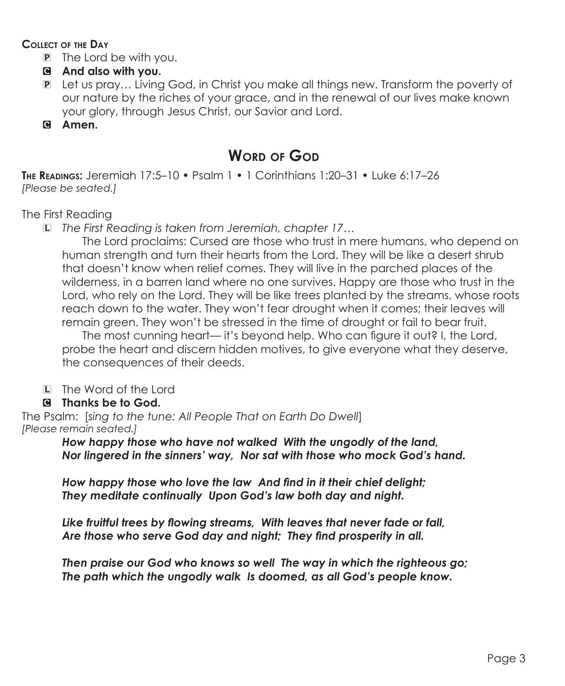### **Collect of the Day**

- P The Lord be with you.
- C **And also with you.**
- P Let us pray… Living God, in Christ you make all things new. Transform the poverty of our nature by the riches of your grace, and in the renewal of our lives make known your glory, through Jesus Christ, our Savior and Lord.
- C **Amen.**

## **Word of God**

**The Readings:** Jeremiah 17:5–10 • Psalm 1 • 1 Corinthians 1:20–31 • Luke 6:17–26 *[Please be seated.]*

The First Reading

L *The First Reading is taken from Jeremiah, chapter 17…*

The Lord proclaims: Cursed are those who trust in mere humans, who depend on human strength and turn their hearts from the Lord. They will be like a desert shrub that doesn't know when relief comes. They will live in the parched places of the wilderness, in a barren land where no one survives. Happy are those who trust in the Lord, who rely on the Lord. They will be like trees planted by the streams, whose roots reach down to the water. They won't fear drought when it comes; their leaves will remain green. They won't be stressed in the time of drought or fail to bear fruit.

The most cunning heart— it's beyond help. Who can figure it out? I, the Lord, probe the heart and discern hidden motives, to give everyone what they deserve, the consequences of their deeds.

- L The Word of the Lord
- C **Thanks be to God.**

The Psalm: [*sing to the tune: All People That on Earth Do Dwell*] *[Please remain seated.]*

*How happy those who have not walked With the ungodly of the land, Nor lingered in the sinners' way, Nor sat with those who mock God's hand.*

*How happy those who love the law And find in it their chief delight; They meditate continually Upon God's law both day and night.*

*Like fruitful trees by flowing streams, With leaves that never fade or fall, Are those who serve God day and night; They find prosperity in all.*

*Then praise our God who knows so well The way in which the righteous go; The path which the ungodly walk Is doomed, as all God's people know.*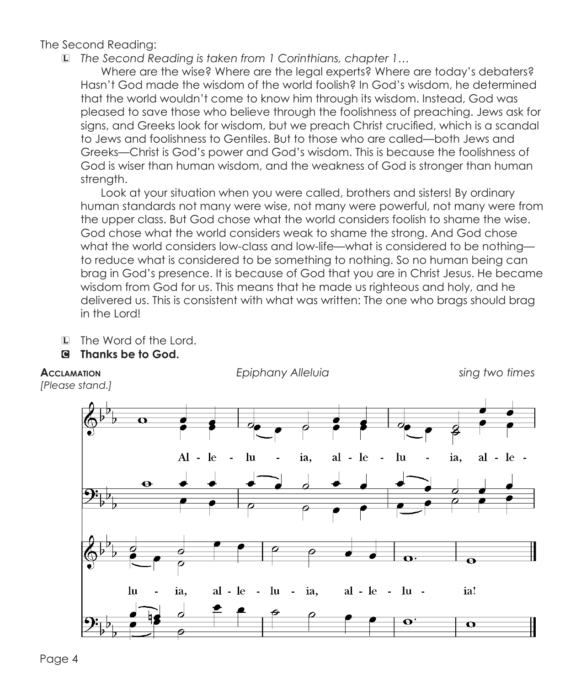The Second Reading:

### L *The Second Reading is taken from 1 Corinthians, chapter 1…*

Where are the wise? Where are the legal experts? Where are today's debaters? Hasn't God made the wisdom of the world foolish? In God's wisdom, he determined that the world wouldn't come to know him through its wisdom. Instead, God was pleased to save those who believe through the foolishness of preaching. Jews ask for signs, and Greeks look for wisdom, but we preach Christ crucified, which is a scandal to Jews and foolishness to Gentiles. But to those who are called—both Jews and Greeks—Christ is God's power and God's wisdom. This is because the foolishness of God is wiser than human wisdom, and the weakness of God is stronger than human strength.

 Look at your situation when you were called, brothers and sisters! By ordinary human standards not many were wise, not many were powerful, not many were from the upper class. But God chose what the world considers foolish to shame the wise. God chose what the world considers weak to shame the strong. And God chose what the world considers low-class and low-life—what is considered to be nothing to reduce what is considered to be something to nothing. So no human being can brag in God's presence. It is because of God that you are in Christ Jesus. He became wisdom from God for us. This means that he made us righteous and holy, and he delivered us. This is consistent with what was written: The one who brags should brag in the Lord!

- L The Word of the Lord.
- C **Thanks be to God.**

**Acclamation** *Epiphany Alleluia sing two times*

*[Please stand.]*

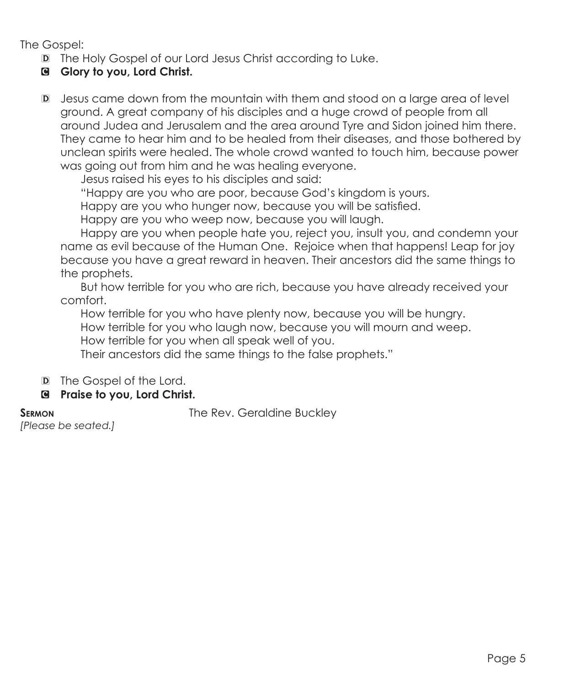The Gospel:

- D The Holy Gospel of our Lord Jesus Christ according to Luke.
- C **Glory to you, Lord Christ.**
- D Jesus came down from the mountain with them and stood on a large area of level ground. A great company of his disciples and a huge crowd of people from all around Judea and Jerusalem and the area around Tyre and Sidon joined him there. They came to hear him and to be healed from their diseases, and those bothered by unclean spirits were healed. The whole crowd wanted to touch him, because power was going out from him and he was healing everyone.

Jesus raised his eyes to his disciples and said:

"Happy are you who are poor, because God's kingdom is yours.

Happy are you who hunger now, because you will be satisfied.

Happy are you who weep now, because you will laugh.

Happy are you when people hate you, reject you, insult you, and condemn your name as evil because of the Human One. Rejoice when that happens! Leap for joy because you have a great reward in heaven. Their ancestors did the same things to the prophets.

 But how terrible for you who are rich, because you have already received your comfort.

How terrible for you who have plenty now, because you will be hungry.

How terrible for you who laugh now, because you will mourn and weep.

How terrible for you when all speak well of you.

Their ancestors did the same things to the false prophets."

- D The Gospel of the Lord.
- C **Praise to you, Lord Christ.**

*[Please be seated.]*

**SERMON** The Rev. Geraldine Buckley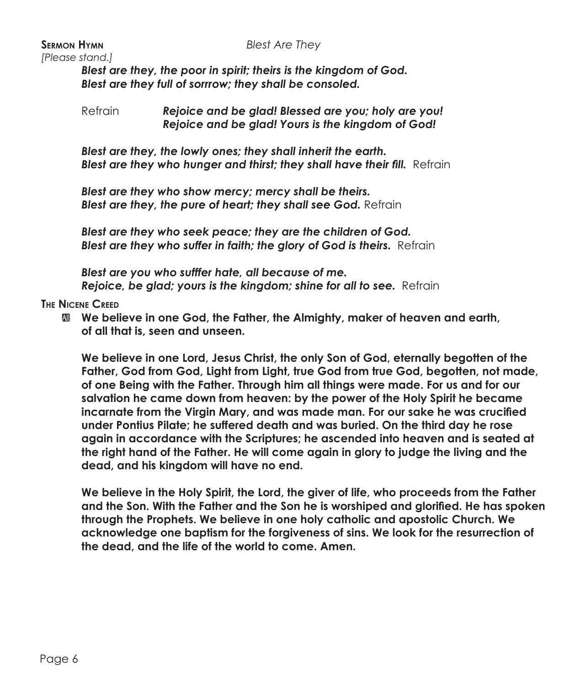*[Please stand.]*

**Sermon Hymn** *Blest Are They*

*Blest are they, the poor in spirit; theirs is the kingdom of God. Blest are they full of sorrrow; they shall be consoled.* 

Refrain *Rejoice and be glad! Blessed are you; holy are you! Rejoice and be glad! Yours is the kingdom of God!*

*Blest are they, the lowly ones; they shall inherit the earth.*  **Blest are they who hunger and thirst; they shall have their fill.** Refrain

*Blest are they who show mercy; mercy shall be theirs. Blest are they, the pure of heart; they shall see God. Refrain* 

*Blest are they who seek peace; they are the children of God.*  **Blest are they who suffer in faith; the glory of God is theirs.** Refrain

*Blest are you who sufffer hate, all because of me. Rejoice, be glad; yours is the kingdom; shine for all to see.* Refrain

**The Nicene Creed**

 $\blacksquare$  We believe in one God, the Father, the Almighty, maker of heaven and earth,  **of all that is, seen and unseen.**

 **We believe in one Lord, Jesus Christ, the only Son of God, eternally begotten of the Father, God from God, Light from Light, true God from true God, begotten, not made, of one Being with the Father. Through him all things were made. For us and for our salvation he came down from heaven: by the power of the Holy Spirit he became incarnate from the Virgin Mary, and was made man. For our sake he was crucified under Pontius Pilate; he suffered death and was buried. On the third day he rose again in accordance with the Scriptures; he ascended into heaven and is seated at the right hand of the Father. He will come again in glory to judge the living and the dead, and his kingdom will have no end.**

 **We believe in the Holy Spirit, the Lord, the giver of life, who proceeds from the Father and the Son. With the Father and the Son he is worshiped and glorified. He has spoken through the Prophets. We believe in one holy catholic and apostolic Church. We acknowledge one baptism for the forgiveness of sins. We look for the resurrection of the dead, and the life of the world to come. Amen.**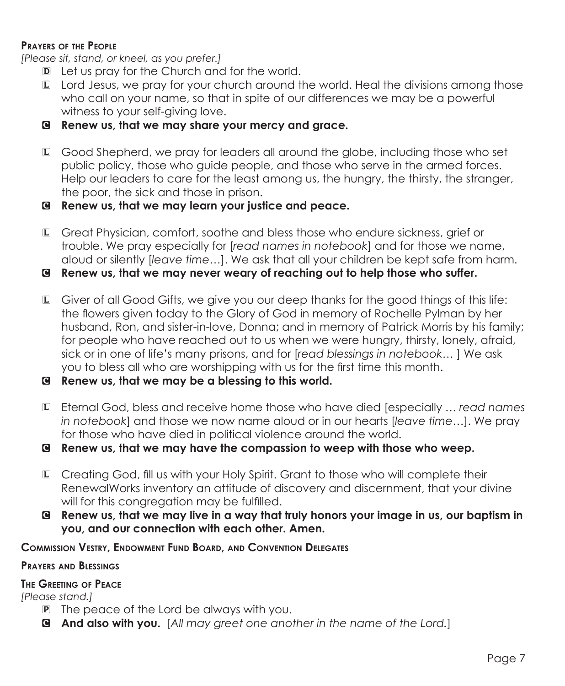### **Prayers of the People**

*[Please sit, stand, or kneel, as you prefer.]*

- D Let us pray for the Church and for the world.
- L Lord Jesus, we pray for your church around the world. Heal the divisions among those who call on your name, so that in spite of our differences we may be a powerful witness to your self-giving love.
- C **Renew us, that we may share your mercy and grace.**
- L Good Shepherd, we pray for leaders all around the globe, including those who set public policy, those who guide people, and those who serve in the armed forces. Help our leaders to care for the least among us, the hungry, the thirsty, the stranger, the poor, the sick and those in prison.
- C **Renew us, that we may learn your justice and peace.**
- L Great Physician, comfort, soothe and bless those who endure sickness, grief or trouble. We pray especially for [*read names in notebook*] and for those we name, aloud or silently [*leave time…*]. We ask that all your children be kept safe from harm.
- C **Renew us, that we may never weary of reaching out to help those who suffer.**
- L Giver of all Good Gifts, we give you our deep thanks for the good things of this life: the flowers given today to the Glory of God in memory of Rochelle Pylman by her husband, Ron, and sister-in-love, Donna; and in memory of Patrick Morris by his family; for people who have reached out to us when we were hungry, thirsty, lonely, afraid, sick or in one of life's many prisons, and for [*read blessings in notebook…* ] We ask you to bless all who are worshipping with us for the first time this month.
- C **Renew us, that we may be a blessing to this world.**
- L Eternal God, bless and receive home those who have died [especially … *read names in notebook*] and those we now name aloud or in our hearts [*leave time…*]. We pray for those who have died in political violence around the world.
- C **Renew us, that we may have the compassion to weep with those who weep.**
- L Creating God, fill us with your Holy Spirit. Grant to those who will complete their RenewalWorks inventory an attitude of discovery and discernment, that your divine will for this congregation may be fulfilled.
- C **Renew us, that we may live in a way that truly honors your image in us, our baptism in you, and our connection with each other. Amen.**

**Commission Vestry, Endowment Fund Board, and Convention Delegates**

### **Prayers and Blessings**

### **The Greeting of Peace**

*[Please stand.]*

- P The peace of the Lord be always with you.
- C **And also with you.** [*All may greet one another in the name of the Lord.*]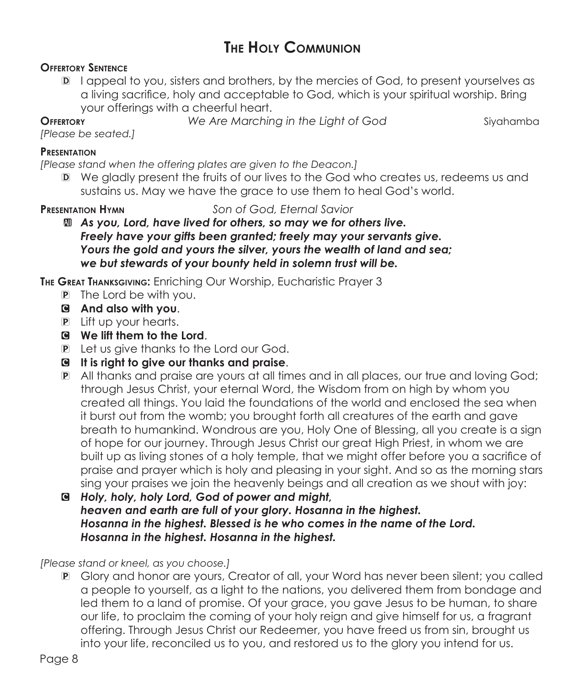## **The Holy Communion**

### **Offertory Sentence**

D I appeal to you, sisters and brothers, by the mercies of God, to present yourselves as a living sacrifice, holy and acceptable to God, which is your spiritual worship. Bring your offerings with a cheerful heart.

**Offertory** *We Are Marching in the Light of God* Siyahamba

*[Please be seated.]* 

### **Presentation**

*[Please stand when the offering plates are given to the Deacon.]*

D We gladly present the fruits of our lives to the God who creates us, redeems us and sustains us. May we have the grace to use them to heal God's world.

**Presentation Hymn** *Son of God, Eternal Savior*

 $\mathbf{M}$  As you, Lord, have lived for others, so may we for others live. *Freely have your gifts been granted; freely may your servants give. Yours the gold and yours the silver, yours the wealth of land and sea; we but stewards of your bounty held in solemn trust will be.*

**The Great Thanksgiving:** Enriching Our Worship, Eucharistic Prayer 3

- P The Lord be with you.
- C **And also with you**.
- P Lift up your hearts.
- C **We lift them to the Lord**.
- P Let us give thanks to the Lord our God.
- C **It is right to give our thanks and praise**.
- P All thanks and praise are yours at all times and in all places, our true and loving God; through Jesus Christ, your eternal Word, the Wisdom from on high by whom you created all things. You laid the foundations of the world and enclosed the sea when it burst out from the womb; you brought forth all creatures of the earth and gave breath to humankind. Wondrous are you, Holy One of Blessing, all you create is a sign of hope for our journey. Through Jesus Christ our great High Priest, in whom we are built up as living stones of a holy temple, that we might offer before you a sacrifice of praise and prayer which is holy and pleasing in your sight. And so as the morning stars sing your praises we join the heavenly beings and all creation as we shout with joy:

C *Holy, holy, holy Lord, God of power and might, heaven and earth are full of your glory. Hosanna in the highest. Hosanna in the highest. Blessed is he who comes in the name of the Lord. Hosanna in the highest. Hosanna in the highest.*

*[Please stand or kneel, as you choose.]*

P Glory and honor are yours, Creator of all, your Word has never been silent; you called a people to yourself, as a light to the nations, you delivered them from bondage and led them to a land of promise. Of your grace, you gave Jesus to be human, to share our life, to proclaim the coming of your holy reign and give himself for us, a fragrant offering. Through Jesus Christ our Redeemer, you have freed us from sin, brought us into your life, reconciled us to you, and restored us to the glory you intend for us.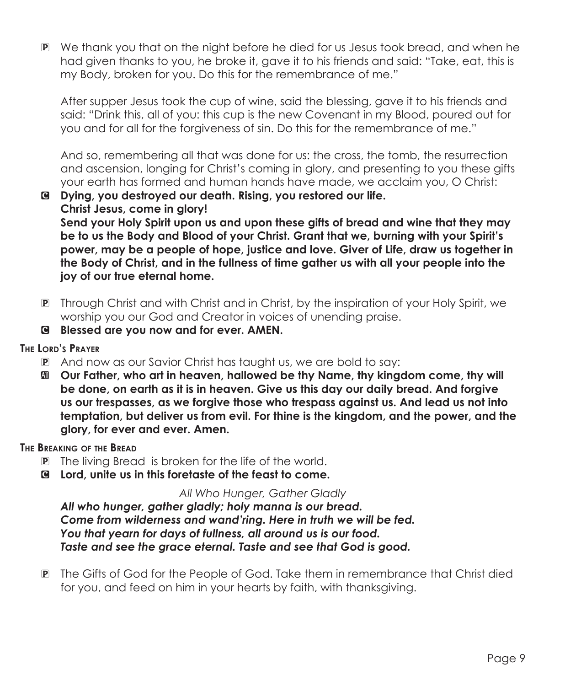P We thank you that on the night before he died for us Jesus took bread, and when he had given thanks to you, he broke it, gave it to his friends and said: "Take, eat, this is my Body, broken for you. Do this for the remembrance of me."

 After supper Jesus took the cup of wine, said the blessing, gave it to his friends and said: "Drink this, all of you: this cup is the new Covenant in my Blood, poured out for you and for all for the forgiveness of sin. Do this for the remembrance of me."

 And so, remembering all that was done for us: the cross, the tomb, the resurrection and ascension, longing for Christ's coming in glory, and presenting to you these gifts your earth has formed and human hands have made, we acclaim you, O Christ:

C **Dying, you destroyed our death. Rising, you restored our life. Christ Jesus, come in glory!**

 **Send your Holy Spirit upon us and upon these gifts of bread and wine that they may be to us the Body and Blood of your Christ. Grant that we, burning with your Spirit's power, may be a people of hope, justice and love. Giver of Life, draw us together in the Body of Christ, and in the fullness of time gather us with all your people into the joy of our true eternal home.**

- P Through Christ and with Christ and in Christ, by the inspiration of your Holy Spirit, we worship you our God and Creator in voices of unending praise.
- C **Blessed are you now and for ever. AMEN.**

### **The Lord's Prayer**

- P And now as our Savior Christ has taught us, we are bold to say:
- a **Our Father, who art in heaven, hallowed be thy Name, thy kingdom come, thy will be done, on earth as it is in heaven. Give us this day our daily bread. And forgive us our trespasses, as we forgive those who trespass against us. And lead us not into temptation, but deliver us from evil. For thine is the kingdom, and the power, and the glory, for ever and ever. Amen.**

### **The Breaking of the Bread**

- P The living Bread is broken for the life of the world.
- C **Lord, unite us in this foretaste of the feast to come.**

*All Who Hunger, Gather Gladly*

*All who hunger, gather gladly; holy manna is our bread. Come from wilderness and wand'ring. Here in truth we will be fed. You that yearn for days of fullness, all around us is our food. Taste and see the grace eternal. Taste and see that God is good.*

P The Gifts of God for the People of God. Take them in remembrance that Christ died for you, and feed on him in your hearts by faith, with thanksgiving.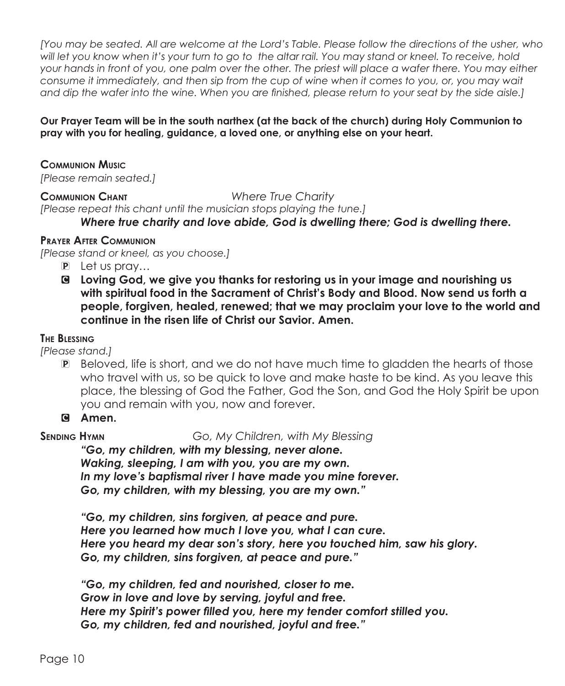*[You may be seated. All are welcome at the Lord's Table. Please follow the directions of the usher, who will let you know when it's your turn to go to the altar rail. You may stand or kneel. To receive, hold your hands in front of you, one palm over the other. The priest will place a wafer there. You may either consume it immediately, and then sip from the cup of wine when it comes to you, or, you may wait and dip the wafer into the wine. When you are finished, please return to your seat by the side aisle.]*

### **Our Prayer Team will be in the south narthex (at the back of the church) during Holy Communion to pray with you for healing, guidance, a loved one, or anything else on your heart.**

**Communion Music** *[Please remain seated.]*

### **Communion Chant** *Where True Charity [Please repeat this chant until the musician stops playing the tune.]*

*Where true charity and love abide, God is dwelling there; God is dwelling there.*

### **Prayer After Communion**

*[Please stand or kneel, as you choose.]*

- P Let us pray…
- C **Loving God, we give you thanks for restoring us in your image and nourishing us with spiritual food in the Sacrament of Christ's Body and Blood. Now send us forth a people, forgiven, healed, renewed; that we may proclaim your love to the world and continue in the risen life of Christ our Savior. Amen.**

### **The Blessing**

*[Please stand.]*

P Beloved, life is short, and we do not have much time to gladden the hearts of those who travel with us, so be quick to love and make haste to be kind. As you leave this place, the blessing of God the Father, God the Son, and God the Holy Spirit be upon you and remain with you, now and forever.

C **Amen.**

**Sending Hymn** *Go, My Children, with My Blessing*

*"Go, my children, with my blessing, never alone. Waking, sleeping, I am with you, you are my own. In my love's baptismal river I have made you mine forever. Go, my children, with my blessing, you are my own."*

*"Go, my children, sins forgiven, at peace and pure. Here you learned how much I love you, what I can cure. Here you heard my dear son's story, here you touched him, saw his glory. Go, my children, sins forgiven, at peace and pure."*

*"Go, my children, fed and nourished, closer to me. Grow in love and love by serving, joyful and free. Here my Spirit's power filled you, here my tender comfort stilled you. Go, my children, fed and nourished, joyful and free."*